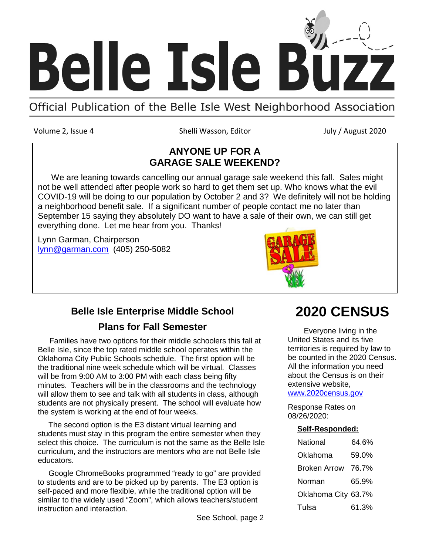

Volume 2, Issue 4 Shelli Wasson, Editor July / August 2020

## **ANYONE UP FOR A GARAGE SALE WEEKEND?**

 We are leaning towards cancelling our annual garage sale weekend this fall. Sales might not be well attended after people work so hard to get them set up. Who knows what the evil COVID-19 will be doing to our population by October 2 and 3? We definitely will not be holding a neighborhood benefit sale. If a significant number of people contact me no later than September 15 saying they absolutely DO want to have a sale of their own, we can still get everything done. Let me hear from you. Thanks!

Lynn Garman, Chairperson [lynn@garman.com](mailto:lynn@garman.com) (405) 250-5082



## **Belle Isle Enterprise Middle School Plans for Fall Semester**

 Families have two options for their middle schoolers this fall at Belle Isle, since the top rated middle school operates within the Oklahoma City Public Schools schedule. The first option will be the traditional nine week schedule which will be virtual. Classes will be from 9:00 AM to 3:00 PM with each class being fifty minutes. Teachers will be in the classrooms and the technology will allow them to see and talk with all students in class, although students are not physically present. The school will evaluate how the system is working at the end of four weeks.

 The second option is the E3 distant virtual learning and students must stay in this program the entire semester when they select this choice. The curriculum is not the same as the Belle Isle curriculum, and the instructors are mentors who are not Belle Isle educators.

 Google ChromeBooks programmed "ready to go" are provided to students and are to be picked up by parents. The E3 option is self-paced and more flexible, while the traditional option will be similar to the widely used "Zoom", which allows teachers/student instruction and interaction.

See School, page 2

# **2020 CENSUS**

 Everyone living in the United States and its five territories is required by law to be counted in the 2020 Census. All the information you need about the Census is on their extensive website,

[www.2020census.gov](http://www.2020census.gov/)

Response Rates on 08/26/2020:

### **Self-Responded:**

| National            | 64.6% |
|---------------------|-------|
| Oklahoma            | 59.0% |
| Broken Arrow        | 76.7% |
| Norman              | 65.9% |
| Oklahoma City 63.7% |       |
| Tulsa               | 61.3% |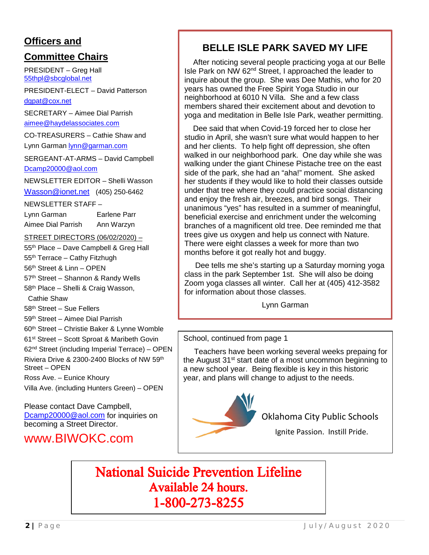## **Officers and**

## **Committee Chairs**

PRESIDENT – Greg Hall [55thpl@sbcglobal.net](mailto:55thpl@sbcglobal.net)

PRESIDENT-ELECT – David Patterson [dgpat@cox.net](mailto:dgpat@cox.net)

SECRETARY – Aimee Dial Parrish [aimee@haydelassociates.com](mailto:aimee@haydelassociates.com)

CO-TREASURERS – Cathie Shaw and Lynn Garman [lynn@garman.com](mailto:lynn@garman.com)

SERGEANT-AT-ARMS – David Campbell [Dcamp20000@aol.com](mailto:Dcamp20000@aol.com)

NEWSLETTER EDITOR – Shelli Wasson

[Wasson@ionet.net](mailto:Wasson@ionet.net) (405) 250-6462

NEWSLETTER STAFF –

| Lynn Garman        | Earlene Parr |
|--------------------|--------------|
| Aimee Dial Parrish | Ann Warzyn   |

STREET DIRECTORS (06/02/2020) –

55<sup>th</sup> Place – Dave Campbell & Greg Hall 55<sup>th</sup> Terrace – Cathy Fitzhugh

56th Street & Linn – OPEN

57<sup>th</sup> Street - Shannon & Randy Wells

58th Place – Shelli & Craig Wasson,

Cathie Shaw

58th Street – Sue Fellers

59th Street – Aimee Dial Parrish

60th Street – Christie Baker & Lynne Womble

61st Street – Scott Sproat & Maribeth Govin 62nd Street (including Imperial Terrace) – OPEN Riviera Drive & 2300-2400 Blocks of NW 59th Street – OPEN

Ross Ave. – Eunice Khoury

Villa Ave. (including Hunters Green) – OPEN

Please contact Dave Campbell, [Dcamp20000@aol.com](mailto:Dcamp20000@aol.com) for inquiries on becoming a Street Director.

www.BIWOKC.com

## **BELLE ISLE PARK SAVED MY LIFE**

 After noticing several people practicing yoga at our Belle Isle Park on NW 62nd Street, I approached the leader to inquire about the group. She was Dee Mathis, who for 20 years has owned the Free Spirit Yoga Studio in our neighborhood at 6010 N Villa. She and a few class members shared their excitement about and devotion to yoga and meditation in Belle Isle Park, weather permitting.

 Dee said that when Covid-19 forced her to close her studio in April, she wasn't sure what would happen to her and her clients. To help fight off depression, she often walked in our neighborhood park. One day while she was walking under the giant Chinese Pistache tree on the east side of the park, she had an "aha!" moment. She asked her students if they would like to hold their classes outside under that tree where they could practice social distancing and enjoy the fresh air, breezes, and bird songs. Their unanimous "yes" has resulted in a summer of meaningful, beneficial exercise and enrichment under the welcoming branches of a magnificent old tree. Dee reminded me that trees give us oxygen and help us connect with Nature. There were eight classes a week for more than two months before it got really hot and buggy.

 Dee tells me she's starting up a Saturday morning yoga class in the park September 1st. She will also be doing Zoom yoga classes all winter. Call her at (405) 412-3582 for information about those classes.

Lynn Garman

### School, continued from page 1

 Teachers have been working several weeks prepaing for the August 31<sup>st</sup> start date of a most uncommon beginning to a new school year. Being flexible is key in this historic year, and plans will change to adjust to the needs.



Oklahoma City Public Schools

Ignite Passion. Instill Pride.

**National Suicide Prevention Lifeline Available 24 hours.** 1-800-273-8255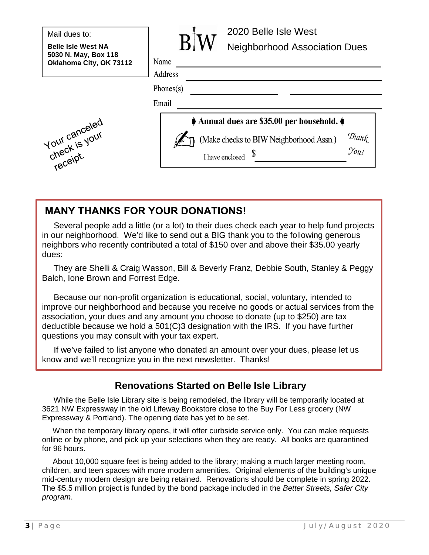**Belle Isle West NA 5030 N. May, Box 118 Oklahoma City, OK 73112**





**2020 Belle Isle West** 2020 Belle Isle West **Neighborhood Association**  Neighborhood Association Dues

| Name      |  |
|-----------|--|
| Address   |  |
| Phones(s) |  |
| Email     |  |



 Several people add a little (or a lot) to their dues check each year to help fund projects in our neighborhood. We'd like to send out a BIG thank you to the following generous neighbors who recently contributed a total of \$150 over and above their \$35.00 yearly dues:

 They are Shelli & Craig Wasson, Bill & Beverly Franz, Debbie South, Stanley & Peggy Balch, Ione Brown and Forrest Edge.

 Because our non-profit organization is educational, social, voluntary, intended to improve our neighborhood and because you receive no goods or actual services from the association, your dues and any amount you choose to donate (up to \$250) are tax deductible because we hold a 501(C)3 designation with the IRS. If you have further questions you may consult with your tax expert.

 If we've failed to list anyone who donated an amount over your dues, please let us know and we'll recognize you in the next newsletter. Thanks!

## **Renovations Started on Belle Isle Library**

 While the Belle Isle Library site is being remodeled, the library will be temporarily located at 3621 NW Expressway in the old Lifeway Bookstore close to the Buy For Less grocery (NW Expressway & Portland). The opening date has yet to be set.

 When the temporary library opens, it will offer curbside service only. You can make requests online or by phone, and pick up your selections when they are ready. All books are quarantined for 96 hours.

 About 10,000 square feet is being added to the library; making a much larger meeting room, children, and teen spaces with more modern amenities. Original elements of the building's unique mid-century modern design are being retained. Renovations should be complete in spring 2022. The \$5.5 million project is funded by the bond package included in the *Better Streets, Safer City program*.